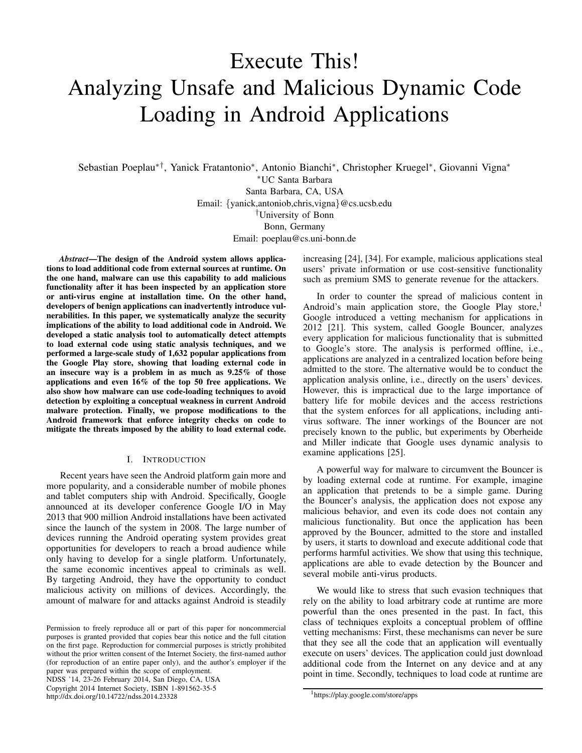# Execute This! Analyzing Unsafe and Malicious Dynamic Code Loading in Android Applications

Sebastian Poeplau∗†, Yanick Fratantonio∗, Antonio Bianchi∗, Christopher Kruegel∗, Giovanni Vigna<sup>∗</sup> <sup>∗</sup>UC Santa Barbara Santa Barbara, CA, USA Email: {yanick,antoniob,chris,vigna}@cs.ucsb.edu †University of Bonn Bonn, Germany Email: poeplau@cs.uni-bonn.de

*Abstract*—The design of the Android system allows applications to load additional code from external sources at runtime. On the one hand, malware can use this capability to add malicious functionality after it has been inspected by an application store or anti-virus engine at installation time. On the other hand, developers of benign applications can inadvertently introduce vulnerabilities. In this paper, we systematically analyze the security implications of the ability to load additional code in Android. We developed a static analysis tool to automatically detect attempts to load external code using static analysis techniques, and we performed a large-scale study of 1,632 popular applications from the Google Play store, showing that loading external code in an insecure way is a problem in as much as 9.25% of those applications and even 16% of the top 50 free applications. We also show how malware can use code-loading techniques to avoid detection by exploiting a conceptual weakness in current Android malware protection. Finally, we propose modifications to the Android framework that enforce integrity checks on code to mitigate the threats imposed by the ability to load external code.

## I. INTRODUCTION

Recent years have seen the Android platform gain more and more popularity, and a considerable number of mobile phones and tablet computers ship with Android. Specifically, Google announced at its developer conference Google I/O in May 2013 that 900 million Android installations have been activated since the launch of the system in 2008. The large number of devices running the Android operating system provides great opportunities for developers to reach a broad audience while only having to develop for a single platform. Unfortunately, the same economic incentives appeal to criminals as well. By targeting Android, they have the opportunity to conduct malicious activity on millions of devices. Accordingly, the amount of malware for and attacks against Android is steadily

NDSS '14, 23-26 February 2014, San Diego, CA, USA Copyright 2014 Internet Society, ISBN 1-891562-35-5 http://dx.doi.org/10.14722/ndss.2014.23328

increasing [24], [34]. For example, malicious applications steal users' private information or use cost-sensitive functionality such as premium SMS to generate revenue for the attackers.

In order to counter the spread of malicious content in Android's main application store, the Google Play store,<sup>1</sup> Google introduced a vetting mechanism for applications in 2012 [21]. This system, called Google Bouncer, analyzes every application for malicious functionality that is submitted to Google's store. The analysis is performed offline, i.e., applications are analyzed in a centralized location before being admitted to the store. The alternative would be to conduct the application analysis online, i.e., directly on the users' devices. However, this is impractical due to the large importance of battery life for mobile devices and the access restrictions that the system enforces for all applications, including antivirus software. The inner workings of the Bouncer are not precisely known to the public, but experiments by Oberheide and Miller indicate that Google uses dynamic analysis to examine applications [25].

A powerful way for malware to circumvent the Bouncer is by loading external code at runtime. For example, imagine an application that pretends to be a simple game. During the Bouncer's analysis, the application does not expose any malicious behavior, and even its code does not contain any malicious functionality. But once the application has been approved by the Bouncer, admitted to the store and installed by users, it starts to download and execute additional code that performs harmful activities. We show that using this technique, applications are able to evade detection by the Bouncer and several mobile anti-virus products.

We would like to stress that such evasion techniques that rely on the ability to load arbitrary code at runtime are more powerful than the ones presented in the past. In fact, this class of techniques exploits a conceptual problem of offline vetting mechanisms: First, these mechanisms can never be sure that they see all the code that an application will eventually execute on users' devices. The application could just download additional code from the Internet on any device and at any point in time. Secondly, techniques to load code at runtime are

Permission to freely reproduce all or part of this paper for noncommercial purposes is granted provided that copies bear this notice and the full citation on the first page. Reproduction for commercial purposes is strictly prohibited without the prior written consent of the Internet Society, the first-named author (for reproduction of an entire paper only), and the author's employer if the paper was prepared within the scope of employment.

<sup>1</sup>https://play.google.com/store/apps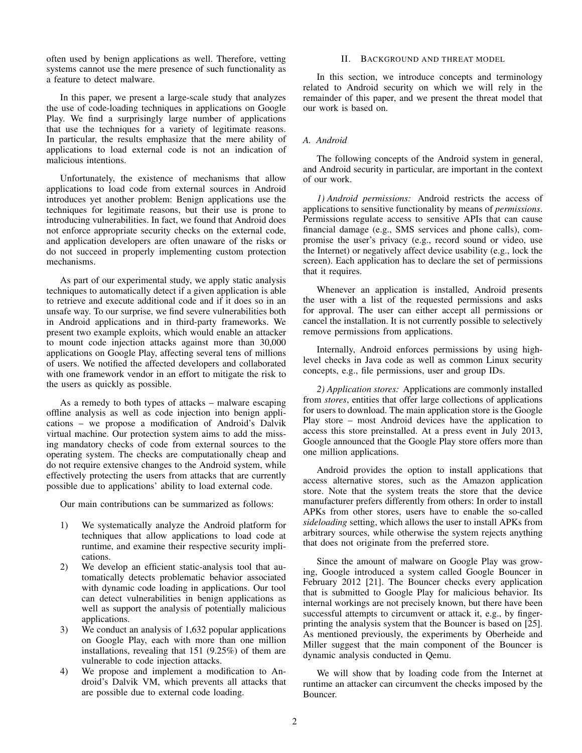often used by benign applications as well. Therefore, vetting systems cannot use the mere presence of such functionality as a feature to detect malware.

In this paper, we present a large-scale study that analyzes the use of code-loading techniques in applications on Google Play. We find a surprisingly large number of applications that use the techniques for a variety of legitimate reasons. In particular, the results emphasize that the mere ability of applications to load external code is not an indication of malicious intentions.

Unfortunately, the existence of mechanisms that allow applications to load code from external sources in Android introduces yet another problem: Benign applications use the techniques for legitimate reasons, but their use is prone to introducing vulnerabilities. In fact, we found that Android does not enforce appropriate security checks on the external code, and application developers are often unaware of the risks or do not succeed in properly implementing custom protection mechanisms.

As part of our experimental study, we apply static analysis techniques to automatically detect if a given application is able to retrieve and execute additional code and if it does so in an unsafe way. To our surprise, we find severe vulnerabilities both in Android applications and in third-party frameworks. We present two example exploits, which would enable an attacker to mount code injection attacks against more than 30,000 applications on Google Play, affecting several tens of millions of users. We notified the affected developers and collaborated with one framework vendor in an effort to mitigate the risk to the users as quickly as possible.

As a remedy to both types of attacks – malware escaping offline analysis as well as code injection into benign applications – we propose a modification of Android's Dalvik virtual machine. Our protection system aims to add the missing mandatory checks of code from external sources to the operating system. The checks are computationally cheap and do not require extensive changes to the Android system, while effectively protecting the users from attacks that are currently possible due to applications' ability to load external code.

Our main contributions can be summarized as follows:

- 1) We systematically analyze the Android platform for techniques that allow applications to load code at runtime, and examine their respective security implications.
- 2) We develop an efficient static-analysis tool that automatically detects problematic behavior associated with dynamic code loading in applications. Our tool can detect vulnerabilities in benign applications as well as support the analysis of potentially malicious applications.
- 3) We conduct an analysis of 1,632 popular applications on Google Play, each with more than one million installations, revealing that 151 (9.25%) of them are vulnerable to code injection attacks.
- 4) We propose and implement a modification to Android's Dalvik VM, which prevents all attacks that are possible due to external code loading.

#### II. BACKGROUND AND THREAT MODEL

In this section, we introduce concepts and terminology related to Android security on which we will rely in the remainder of this paper, and we present the threat model that our work is based on.

#### *A. Android*

The following concepts of the Android system in general, and Android security in particular, are important in the context of our work.

*1) Android permissions:* Android restricts the access of applications to sensitive functionality by means of *permissions*. Permissions regulate access to sensitive APIs that can cause financial damage (e.g., SMS services and phone calls), compromise the user's privacy (e.g., record sound or video, use the Internet) or negatively affect device usability (e.g., lock the screen). Each application has to declare the set of permissions that it requires.

Whenever an application is installed, Android presents the user with a list of the requested permissions and asks for approval. The user can either accept all permissions or cancel the installation. It is not currently possible to selectively remove permissions from applications.

Internally, Android enforces permissions by using highlevel checks in Java code as well as common Linux security concepts, e.g., file permissions, user and group IDs.

*2) Application stores:* Applications are commonly installed from *stores*, entities that offer large collections of applications for users to download. The main application store is the Google Play store – most Android devices have the application to access this store preinstalled. At a press event in July 2013, Google announced that the Google Play store offers more than one million applications.

Android provides the option to install applications that access alternative stores, such as the Amazon application store. Note that the system treats the store that the device manufacturer prefers differently from others: In order to install APKs from other stores, users have to enable the so-called *sideloading* setting, which allows the user to install APKs from arbitrary sources, while otherwise the system rejects anything that does not originate from the preferred store.

Since the amount of malware on Google Play was growing, Google introduced a system called Google Bouncer in February 2012 [21]. The Bouncer checks every application that is submitted to Google Play for malicious behavior. Its internal workings are not precisely known, but there have been successful attempts to circumvent or attack it, e.g., by fingerprinting the analysis system that the Bouncer is based on [25]. As mentioned previously, the experiments by Oberheide and Miller suggest that the main component of the Bouncer is dynamic analysis conducted in Qemu.

We will show that by loading code from the Internet at runtime an attacker can circumvent the checks imposed by the Bouncer.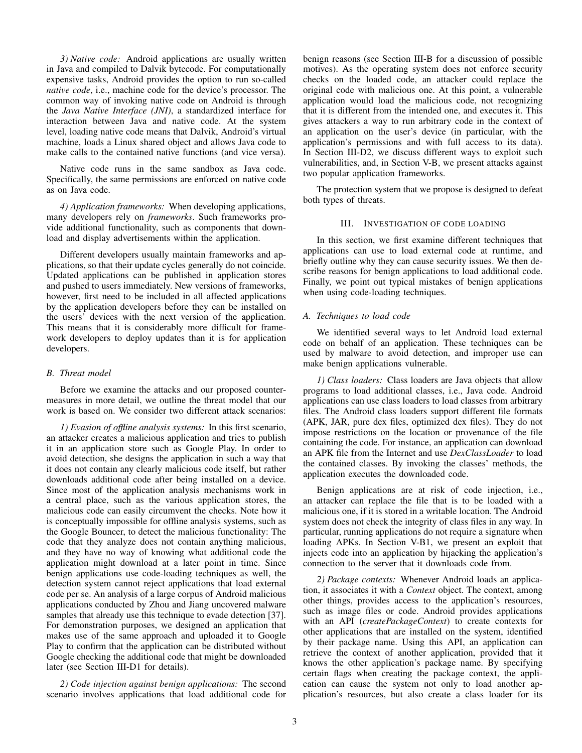*3) Native code:* Android applications are usually written in Java and compiled to Dalvik bytecode. For computationally expensive tasks, Android provides the option to run so-called *native code*, i.e., machine code for the device's processor. The common way of invoking native code on Android is through the *Java Native Interface (JNI)*, a standardized interface for interaction between Java and native code. At the system level, loading native code means that Dalvik, Android's virtual machine, loads a Linux shared object and allows Java code to make calls to the contained native functions (and vice versa).

Native code runs in the same sandbox as Java code. Specifically, the same permissions are enforced on native code as on Java code.

*4) Application frameworks:* When developing applications, many developers rely on *frameworks*. Such frameworks provide additional functionality, such as components that download and display advertisements within the application.

Different developers usually maintain frameworks and applications, so that their update cycles generally do not coincide. Updated applications can be published in application stores and pushed to users immediately. New versions of frameworks, however, first need to be included in all affected applications by the application developers before they can be installed on the users' devices with the next version of the application. This means that it is considerably more difficult for framework developers to deploy updates than it is for application developers.

## *B. Threat model*

Before we examine the attacks and our proposed countermeasures in more detail, we outline the threat model that our work is based on. We consider two different attack scenarios:

*1) Evasion of offline analysis systems:* In this first scenario, an attacker creates a malicious application and tries to publish it in an application store such as Google Play. In order to avoid detection, she designs the application in such a way that it does not contain any clearly malicious code itself, but rather downloads additional code after being installed on a device. Since most of the application analysis mechanisms work in a central place, such as the various application stores, the malicious code can easily circumvent the checks. Note how it is conceptually impossible for offline analysis systems, such as the Google Bouncer, to detect the malicious functionality: The code that they analyze does not contain anything malicious, and they have no way of knowing what additional code the application might download at a later point in time. Since benign applications use code-loading techniques as well, the detection system cannot reject applications that load external code per se. An analysis of a large corpus of Android malicious applications conducted by Zhou and Jiang uncovered malware samples that already use this technique to evade detection [37]. For demonstration purposes, we designed an application that makes use of the same approach and uploaded it to Google Play to confirm that the application can be distributed without Google checking the additional code that might be downloaded later (see Section III-D1 for details).

*2) Code injection against benign applications:* The second scenario involves applications that load additional code for

benign reasons (see Section III-B for a discussion of possible motives). As the operating system does not enforce security checks on the loaded code, an attacker could replace the original code with malicious one. At this point, a vulnerable application would load the malicious code, not recognizing that it is different from the intended one, and executes it. This gives attackers a way to run arbitrary code in the context of an application on the user's device (in particular, with the application's permissions and with full access to its data). In Section III-D2, we discuss different ways to exploit such vulnerabilities, and, in Section V-B, we present attacks against two popular application frameworks.

The protection system that we propose is designed to defeat both types of threats.

#### III. INVESTIGATION OF CODE LOADING

In this section, we first examine different techniques that applications can use to load external code at runtime, and briefly outline why they can cause security issues. We then describe reasons for benign applications to load additional code. Finally, we point out typical mistakes of benign applications when using code-loading techniques.

#### *A. Techniques to load code*

We identified several ways to let Android load external code on behalf of an application. These techniques can be used by malware to avoid detection, and improper use can make benign applications vulnerable.

*1) Class loaders:* Class loaders are Java objects that allow programs to load additional classes, i.e., Java code. Android applications can use class loaders to load classes from arbitrary files. The Android class loaders support different file formats (APK, JAR, pure dex files, optimized dex files). They do not impose restrictions on the location or provenance of the file containing the code. For instance, an application can download an APK file from the Internet and use *DexClassLoader* to load the contained classes. By invoking the classes' methods, the application executes the downloaded code.

Benign applications are at risk of code injection, i.e., an attacker can replace the file that is to be loaded with a malicious one, if it is stored in a writable location. The Android system does not check the integrity of class files in any way. In particular, running applications do not require a signature when loading APKs. In Section V-B1, we present an exploit that injects code into an application by hijacking the application's connection to the server that it downloads code from.

*2) Package contexts:* Whenever Android loads an application, it associates it with a *Context* object. The context, among other things, provides access to the application's resources, such as image files or code. Android provides applications with an API (*createPackageContext*) to create contexts for other applications that are installed on the system, identified by their package name. Using this API, an application can retrieve the context of another application, provided that it knows the other application's package name. By specifying certain flags when creating the package context, the application can cause the system not only to load another application's resources, but also create a class loader for its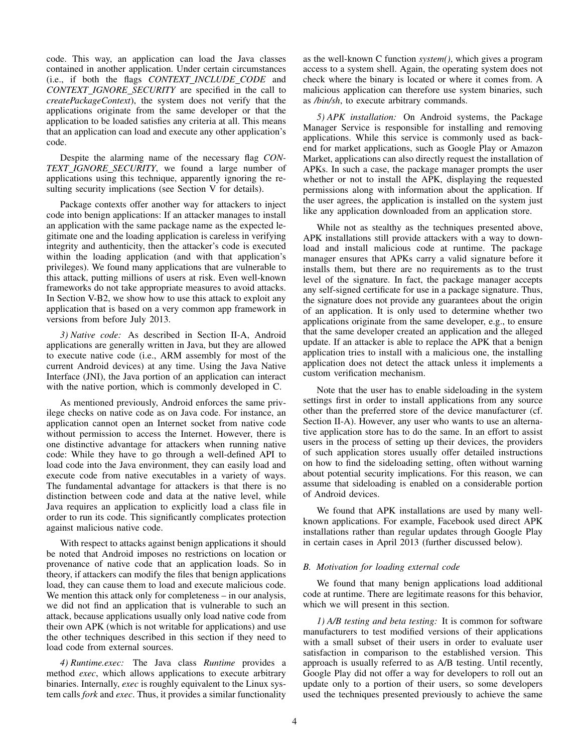code. This way, an application can load the Java classes contained in another application. Under certain circumstances (i.e., if both the flags *CONTEXT INCLUDE CODE* and *CONTEXT IGNORE SECURITY* are specified in the call to *createPackageContext*), the system does not verify that the applications originate from the same developer or that the application to be loaded satisfies any criteria at all. This means that an application can load and execute any other application's code.

Despite the alarming name of the necessary flag *CON-TEXT IGNORE SECURITY*, we found a large number of applications using this technique, apparently ignoring the resulting security implications (see Section V for details).

Package contexts offer another way for attackers to inject code into benign applications: If an attacker manages to install an application with the same package name as the expected legitimate one and the loading application is careless in verifying integrity and authenticity, then the attacker's code is executed within the loading application (and with that application's privileges). We found many applications that are vulnerable to this attack, putting millions of users at risk. Even well-known frameworks do not take appropriate measures to avoid attacks. In Section V-B2, we show how to use this attack to exploit any application that is based on a very common app framework in versions from before July 2013.

*3) Native code:* As described in Section II-A, Android applications are generally written in Java, but they are allowed to execute native code (i.e., ARM assembly for most of the current Android devices) at any time. Using the Java Native Interface (JNI), the Java portion of an application can interact with the native portion, which is commonly developed in C.

As mentioned previously, Android enforces the same privilege checks on native code as on Java code. For instance, an application cannot open an Internet socket from native code without permission to access the Internet. However, there is one distinctive advantage for attackers when running native code: While they have to go through a well-defined API to load code into the Java environment, they can easily load and execute code from native executables in a variety of ways. The fundamental advantage for attackers is that there is no distinction between code and data at the native level, while Java requires an application to explicitly load a class file in order to run its code. This significantly complicates protection against malicious native code.

With respect to attacks against benign applications it should be noted that Android imposes no restrictions on location or provenance of native code that an application loads. So in theory, if attackers can modify the files that benign applications load, they can cause them to load and execute malicious code. We mention this attack only for completeness – in our analysis, we did not find an application that is vulnerable to such an attack, because applications usually only load native code from their own APK (which is not writable for applications) and use the other techniques described in this section if they need to load code from external sources.

*4) Runtime.exec:* The Java class *Runtime* provides a method *exec*, which allows applications to execute arbitrary binaries. Internally, *exec* is roughly equivalent to the Linux system calls *fork* and *exec*. Thus, it provides a similar functionality as the well-known C function *system()*, which gives a program access to a system shell. Again, the operating system does not check where the binary is located or where it comes from. A malicious application can therefore use system binaries, such as */bin/sh*, to execute arbitrary commands.

*5) APK installation:* On Android systems, the Package Manager Service is responsible for installing and removing applications. While this service is commonly used as backend for market applications, such as Google Play or Amazon Market, applications can also directly request the installation of APKs. In such a case, the package manager prompts the user whether or not to install the APK, displaying the requested permissions along with information about the application. If the user agrees, the application is installed on the system just like any application downloaded from an application store.

While not as stealthy as the techniques presented above, APK installations still provide attackers with a way to download and install malicious code at runtime. The package manager ensures that APKs carry a valid signature before it installs them, but there are no requirements as to the trust level of the signature. In fact, the package manager accepts any self-signed certificate for use in a package signature. Thus, the signature does not provide any guarantees about the origin of an application. It is only used to determine whether two applications originate from the same developer, e.g., to ensure that the same developer created an application and the alleged update. If an attacker is able to replace the APK that a benign application tries to install with a malicious one, the installing application does not detect the attack unless it implements a custom verification mechanism.

Note that the user has to enable sideloading in the system settings first in order to install applications from any source other than the preferred store of the device manufacturer (cf. Section II-A). However, any user who wants to use an alternative application store has to do the same. In an effort to assist users in the process of setting up their devices, the providers of such application stores usually offer detailed instructions on how to find the sideloading setting, often without warning about potential security implications. For this reason, we can assume that sideloading is enabled on a considerable portion of Android devices.

We found that APK installations are used by many wellknown applications. For example, Facebook used direct APK installations rather than regular updates through Google Play in certain cases in April 2013 (further discussed below).

#### *B. Motivation for loading external code*

We found that many benign applications load additional code at runtime. There are legitimate reasons for this behavior, which we will present in this section.

*1) A/B testing and beta testing:* It is common for software manufacturers to test modified versions of their applications with a small subset of their users in order to evaluate user satisfaction in comparison to the established version. This approach is usually referred to as A/B testing. Until recently, Google Play did not offer a way for developers to roll out an update only to a portion of their users, so some developers used the techniques presented previously to achieve the same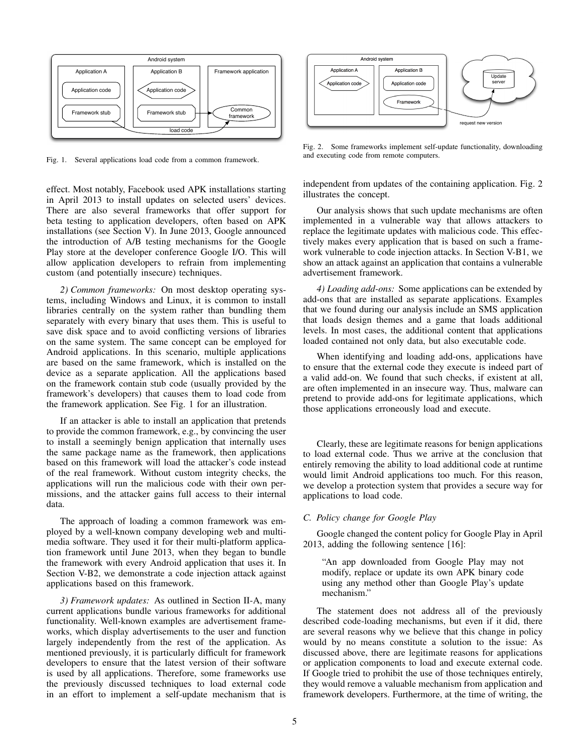

Fig. 1. Several applications load code from a common framework.

effect. Most notably, Facebook used APK installations starting in April 2013 to install updates on selected users' devices. There are also several frameworks that offer support for beta testing to application developers, often based on APK installations (see Section V). In June 2013, Google announced the introduction of A/B testing mechanisms for the Google Play store at the developer conference Google I/O. This will allow application developers to refrain from implementing custom (and potentially insecure) techniques.

*2) Common frameworks:* On most desktop operating systems, including Windows and Linux, it is common to install libraries centrally on the system rather than bundling them separately with every binary that uses them. This is useful to save disk space and to avoid conflicting versions of libraries on the same system. The same concept can be employed for Android applications. In this scenario, multiple applications are based on the same framework, which is installed on the device as a separate application. All the applications based on the framework contain stub code (usually provided by the framework's developers) that causes them to load code from the framework application. See Fig. 1 for an illustration.

If an attacker is able to install an application that pretends to provide the common framework, e.g., by convincing the user to install a seemingly benign application that internally uses the same package name as the framework, then applications based on this framework will load the attacker's code instead of the real framework. Without custom integrity checks, the applications will run the malicious code with their own permissions, and the attacker gains full access to their internal data.

The approach of loading a common framework was employed by a well-known company developing web and multimedia software. They used it for their multi-platform application framework until June 2013, when they began to bundle the framework with every Android application that uses it. In Section V-B2, we demonstrate a code injection attack against applications based on this framework.

*3) Framework updates:* As outlined in Section II-A, many current applications bundle various frameworks for additional functionality. Well-known examples are advertisement frameworks, which display advertisements to the user and function largely independently from the rest of the application. As mentioned previously, it is particularly difficult for framework developers to ensure that the latest version of their software is used by all applications. Therefore, some frameworks use the previously discussed techniques to load external code in an effort to implement a self-update mechanism that is



Fig. 2. Some frameworks implement self-update functionality, downloading and executing code from remote computers.

independent from updates of the containing application. Fig. 2 illustrates the concept.

Our analysis shows that such update mechanisms are often implemented in a vulnerable way that allows attackers to replace the legitimate updates with malicious code. This effectively makes every application that is based on such a framework vulnerable to code injection attacks. In Section V-B1, we show an attack against an application that contains a vulnerable advertisement framework.

*4) Loading add-ons:* Some applications can be extended by add-ons that are installed as separate applications. Examples that we found during our analysis include an SMS application that loads design themes and a game that loads additional levels. In most cases, the additional content that applications loaded contained not only data, but also executable code.

When identifying and loading add-ons, applications have to ensure that the external code they execute is indeed part of a valid add-on. We found that such checks, if existent at all, are often implemented in an insecure way. Thus, malware can pretend to provide add-ons for legitimate applications, which those applications erroneously load and execute.

Clearly, these are legitimate reasons for benign applications to load external code. Thus we arrive at the conclusion that entirely removing the ability to load additional code at runtime would limit Android applications too much. For this reason, we develop a protection system that provides a secure way for applications to load code.

## *C. Policy change for Google Play*

Google changed the content policy for Google Play in April 2013, adding the following sentence [16]:

"An app downloaded from Google Play may not modify, replace or update its own APK binary code using any method other than Google Play's update mechanism."

The statement does not address all of the previously described code-loading mechanisms, but even if it did, there are several reasons why we believe that this change in policy would by no means constitute a solution to the issue: As discussed above, there are legitimate reasons for applications or application components to load and execute external code. If Google tried to prohibit the use of those techniques entirely, they would remove a valuable mechanism from application and framework developers. Furthermore, at the time of writing, the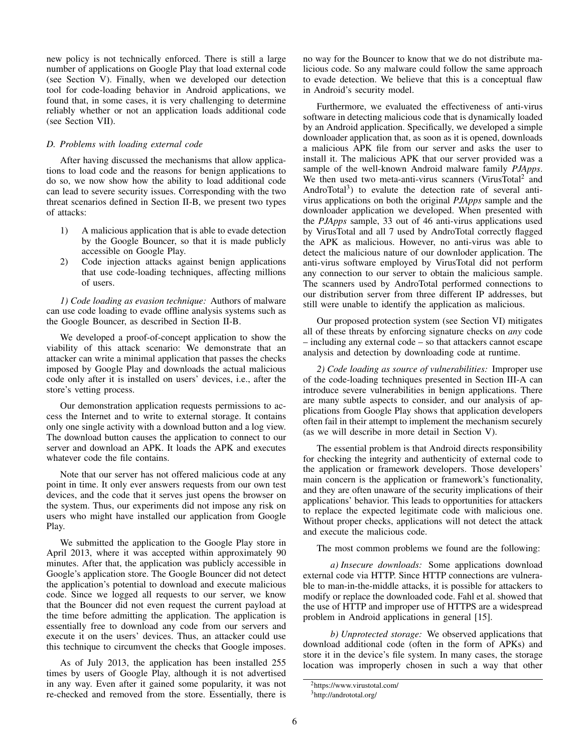new policy is not technically enforced. There is still a large number of applications on Google Play that load external code (see Section V). Finally, when we developed our detection tool for code-loading behavior in Android applications, we found that, in some cases, it is very challenging to determine reliably whether or not an application loads additional code (see Section VII).

## *D. Problems with loading external code*

After having discussed the mechanisms that allow applications to load code and the reasons for benign applications to do so, we now show how the ability to load additional code can lead to severe security issues. Corresponding with the two threat scenarios defined in Section II-B, we present two types of attacks:

- 1) A malicious application that is able to evade detection by the Google Bouncer, so that it is made publicly accessible on Google Play.
- 2) Code injection attacks against benign applications that use code-loading techniques, affecting millions of users.

*1) Code loading as evasion technique:* Authors of malware can use code loading to evade offline analysis systems such as the Google Bouncer, as described in Section II-B.

We developed a proof-of-concept application to show the viability of this attack scenario: We demonstrate that an attacker can write a minimal application that passes the checks imposed by Google Play and downloads the actual malicious code only after it is installed on users' devices, i.e., after the store's vetting process.

Our demonstration application requests permissions to access the Internet and to write to external storage. It contains only one single activity with a download button and a log view. The download button causes the application to connect to our server and download an APK. It loads the APK and executes whatever code the file contains.

Note that our server has not offered malicious code at any point in time. It only ever answers requests from our own test devices, and the code that it serves just opens the browser on the system. Thus, our experiments did not impose any risk on users who might have installed our application from Google Play.

We submitted the application to the Google Play store in April 2013, where it was accepted within approximately 90 minutes. After that, the application was publicly accessible in Google's application store. The Google Bouncer did not detect the application's potential to download and execute malicious code. Since we logged all requests to our server, we know that the Bouncer did not even request the current payload at the time before admitting the application. The application is essentially free to download any code from our servers and execute it on the users' devices. Thus, an attacker could use this technique to circumvent the checks that Google imposes.

As of July 2013, the application has been installed 255 times by users of Google Play, although it is not advertised in any way. Even after it gained some popularity, it was not re-checked and removed from the store. Essentially, there is no way for the Bouncer to know that we do not distribute malicious code. So any malware could follow the same approach to evade detection. We believe that this is a conceptual flaw in Android's security model.

Furthermore, we evaluated the effectiveness of anti-virus software in detecting malicious code that is dynamically loaded by an Android application. Specifically, we developed a simple downloader application that, as soon as it is opened, downloads a malicious APK file from our server and asks the user to install it. The malicious APK that our server provided was a sample of the well-known Android malware family *PJApps*. We then used two meta-anti-virus scanners (VirusTotal<sup>2</sup> and AndroTotal<sup>3</sup>) to evalute the detection rate of several antivirus applications on both the original *PJApps* sample and the downloader application we developed. When presented with the *PJApps* sample, 33 out of 46 anti-virus applications used by VirusTotal and all 7 used by AndroTotal correctly flagged the APK as malicious. However, no anti-virus was able to detect the malicious nature of our downloder application. The anti-virus software employed by VirusTotal did not perform any connection to our server to obtain the malicious sample. The scanners used by AndroTotal performed connections to our distribution server from three different IP addresses, but still were unable to identify the application as malicious.

Our proposed protection system (see Section VI) mitigates all of these threats by enforcing signature checks on *any* code – including any external code – so that attackers cannot escape analysis and detection by downloading code at runtime.

*2) Code loading as source of vulnerabilities:* Improper use of the code-loading techniques presented in Section III-A can introduce severe vulnerabilities in benign applications. There are many subtle aspects to consider, and our analysis of applications from Google Play shows that application developers often fail in their attempt to implement the mechanism securely (as we will describe in more detail in Section V).

The essential problem is that Android directs responsibility for checking the integrity and authenticity of external code to the application or framework developers. Those developers' main concern is the application or framework's functionality, and they are often unaware of the security implications of their applications' behavior. This leads to opportunities for attackers to replace the expected legitimate code with malicious one. Without proper checks, applications will not detect the attack and execute the malicious code.

The most common problems we found are the following:

*a) Insecure downloads:* Some applications download external code via HTTP. Since HTTP connections are vulnerable to man-in-the-middle attacks, it is possible for attackers to modify or replace the downloaded code. Fahl et al. showed that the use of HTTP and improper use of HTTPS are a widespread problem in Android applications in general [15].

*b) Unprotected storage:* We observed applications that download additional code (often in the form of APKs) and store it in the device's file system. In many cases, the storage location was improperly chosen in such a way that other

<sup>2</sup>https://www.virustotal.com/

<sup>3</sup>http://andrototal.org/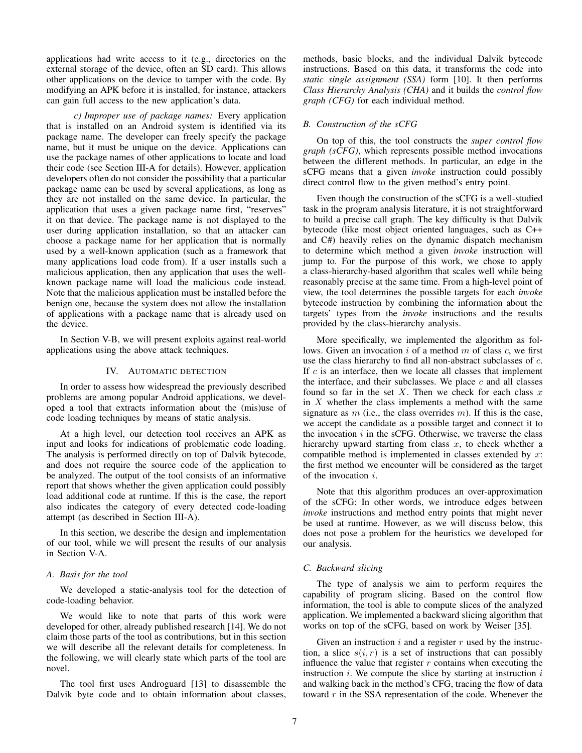applications had write access to it (e.g., directories on the external storage of the device, often an SD card). This allows other applications on the device to tamper with the code. By modifying an APK before it is installed, for instance, attackers can gain full access to the new application's data.

*c) Improper use of package names:* Every application that is installed on an Android system is identified via its package name. The developer can freely specify the package name, but it must be unique on the device. Applications can use the package names of other applications to locate and load their code (see Section III-A for details). However, application developers often do not consider the possibility that a particular package name can be used by several applications, as long as they are not installed on the same device. In particular, the application that uses a given package name first, "reserves" it on that device. The package name is not displayed to the user during application installation, so that an attacker can choose a package name for her application that is normally used by a well-known application (such as a framework that many applications load code from). If a user installs such a malicious application, then any application that uses the wellknown package name will load the malicious code instead. Note that the malicious application must be installed before the benign one, because the system does not allow the installation of applications with a package name that is already used on the device.

In Section V-B, we will present exploits against real-world applications using the above attack techniques.

#### IV. AUTOMATIC DETECTION

In order to assess how widespread the previously described problems are among popular Android applications, we developed a tool that extracts information about the (mis)use of code loading techniques by means of static analysis.

At a high level, our detection tool receives an APK as input and looks for indications of problematic code loading. The analysis is performed directly on top of Dalvik bytecode, and does not require the source code of the application to be analyzed. The output of the tool consists of an informative report that shows whether the given application could possibly load additional code at runtime. If this is the case, the report also indicates the category of every detected code-loading attempt (as described in Section III-A).

In this section, we describe the design and implementation of our tool, while we will present the results of our analysis in Section V-A.

## *A. Basis for the tool*

We developed a static-analysis tool for the detection of code-loading behavior.

We would like to note that parts of this work were developed for other, already published research [14]. We do not claim those parts of the tool as contributions, but in this section we will describe all the relevant details for completeness. In the following, we will clearly state which parts of the tool are novel.

The tool first uses Androguard [13] to disassemble the Dalvik byte code and to obtain information about classes, methods, basic blocks, and the individual Dalvik bytecode instructions. Based on this data, it transforms the code into *static single assignment (SSA)* form [10]. It then performs *Class Hierarchy Analysis (CHA)* and it builds the *control flow graph (CFG)* for each individual method.

#### *B. Construction of the sCFG*

On top of this, the tool constructs the *super control flow graph (sCFG)*, which represents possible method invocations between the different methods. In particular, an edge in the sCFG means that a given *invoke* instruction could possibly direct control flow to the given method's entry point.

Even though the construction of the sCFG is a well-studied task in the program analysis literature, it is not straightforward to build a precise call graph. The key difficulty is that Dalvik bytecode (like most object oriented languages, such as C++ and C#) heavily relies on the dynamic dispatch mechanism to determine which method a given *invoke* instruction will jump to. For the purpose of this work, we chose to apply a class-hierarchy-based algorithm that scales well while being reasonably precise at the same time. From a high-level point of view, the tool determines the possible targets for each *invoke* bytecode instruction by combining the information about the targets' types from the *invoke* instructions and the results provided by the class-hierarchy analysis.

More specifically, we implemented the algorithm as follows. Given an invocation  $i$  of a method  $m$  of class  $c$ , we first use the class hierarchy to find all non-abstract subclasses of c. If  $c$  is an interface, then we locate all classes that implement the interface, and their subclasses. We place  $c$  and all classes found so far in the set  $X$ . Then we check for each class  $x$ in  $X$  whether the class implements a method with the same signature as  $m$  (i.e., the class overrides  $m$ ). If this is the case, we accept the candidate as a possible target and connect it to the invocation  $i$  in the sCFG. Otherwise, we traverse the class hierarchy upward starting from class  $x$ , to check whether a compatible method is implemented in classes extended by  $x$ : the first method we encounter will be considered as the target of the invocation i.

Note that this algorithm produces an over-approximation of the sCFG: In other words, we introduce edges between *invoke* instructions and method entry points that might never be used at runtime. However, as we will discuss below, this does not pose a problem for the heuristics we developed for our analysis.

#### *C. Backward slicing*

The type of analysis we aim to perform requires the capability of program slicing. Based on the control flow information, the tool is able to compute slices of the analyzed application. We implemented a backward slicing algorithm that works on top of the sCFG, based on work by Weiser [35].

Given an instruction  $i$  and a register  $r$  used by the instruction, a slice  $s(i, r)$  is a set of instructions that can possibly influence the value that register  $r$  contains when executing the instruction  $i$ . We compute the slice by starting at instruction  $i$ and walking back in the method's CFG, tracing the flow of data toward  $r$  in the SSA representation of the code. Whenever the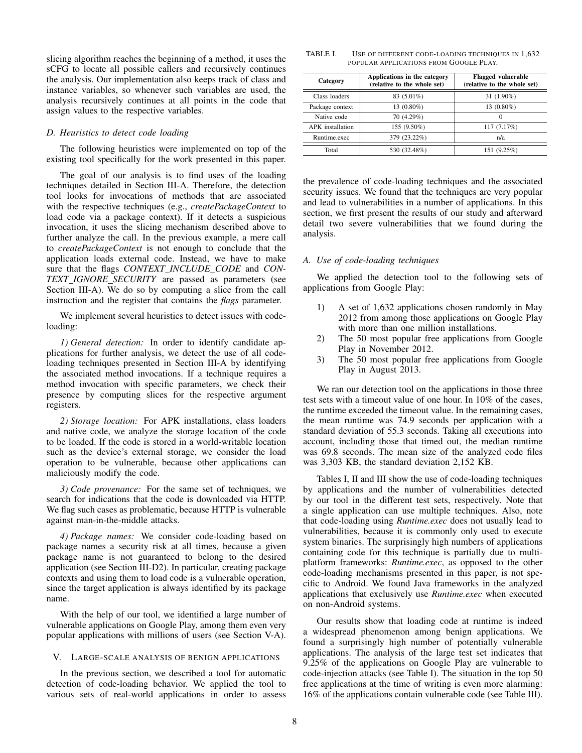slicing algorithm reaches the beginning of a method, it uses the sCFG to locate all possible callers and recursively continues the analysis. Our implementation also keeps track of class and instance variables, so whenever such variables are used, the analysis recursively continues at all points in the code that assign values to the respective variables.

#### *D. Heuristics to detect code loading*

The following heuristics were implemented on top of the existing tool specifically for the work presented in this paper.

The goal of our analysis is to find uses of the loading techniques detailed in Section III-A. Therefore, the detection tool looks for invocations of methods that are associated with the respective techniques (e.g., *createPackageContext* to load code via a package context). If it detects a suspicious invocation, it uses the slicing mechanism described above to further analyze the call. In the previous example, a mere call to *createPackageContext* is not enough to conclude that the application loads external code. Instead, we have to make sure that the flags *CONTEXT INCLUDE CODE* and *CON-TEXT IGNORE SECURITY* are passed as parameters (see Section III-A). We do so by computing a slice from the call instruction and the register that contains the *flags* parameter.

We implement several heuristics to detect issues with codeloading:

*1) General detection:* In order to identify candidate applications for further analysis, we detect the use of all codeloading techniques presented in Section III-A by identifying the associated method invocations. If a technique requires a method invocation with specific parameters, we check their presence by computing slices for the respective argument registers.

*2) Storage location:* For APK installations, class loaders and native code, we analyze the storage location of the code to be loaded. If the code is stored in a world-writable location such as the device's external storage, we consider the load operation to be vulnerable, because other applications can maliciously modify the code.

*3) Code provenance:* For the same set of techniques, we search for indications that the code is downloaded via HTTP. We flag such cases as problematic, because HTTP is vulnerable against man-in-the-middle attacks.

*4) Package names:* We consider code-loading based on package names a security risk at all times, because a given package name is not guaranteed to belong to the desired application (see Section III-D2). In particular, creating package contexts and using them to load code is a vulnerable operation, since the target application is always identified by its package name.

With the help of our tool, we identified a large number of vulnerable applications on Google Play, among them even very popular applications with millions of users (see Section V-A).

#### V. LARGE-SCALE ANALYSIS OF BENIGN APPLICATIONS

In the previous section, we described a tool for automatic detection of code-loading behavior. We applied the tool to various sets of real-world applications in order to assess

| TABLE I. | USE OF DIFFERENT CODE-LOADING TECHNIQUES IN 1,632 |  |
|----------|---------------------------------------------------|--|
|          | POPULAR APPLICATIONS FROM GOOGLE PLAY.            |  |

| Category         | Applications in the category<br>(relative to the whole set) | <b>Flagged</b> vulnerable<br>(relative to the whole set) |
|------------------|-------------------------------------------------------------|----------------------------------------------------------|
| Class loaders    | 83 $(5.01\%)$                                               | 31 $(1.90\%)$                                            |
| Package context  | 13 (0.80%)                                                  | 13 $(0.80\%)$                                            |
| Native code      | 70 (4.29%)                                                  | $\Omega$                                                 |
| APK installation | 155 (9.50%)                                                 | 117(7.17%)                                               |
| Runtime.exec     | 379 (23.22%)                                                | n/a                                                      |
| Total            | 530 (32.48%)                                                | 151 (9.25%)                                              |

the prevalence of code-loading techniques and the associated security issues. We found that the techniques are very popular and lead to vulnerabilities in a number of applications. In this section, we first present the results of our study and afterward detail two severe vulnerabilities that we found during the analysis.

#### *A. Use of code-loading techniques*

We applied the detection tool to the following sets of applications from Google Play:

- 1) A set of 1,632 applications chosen randomly in May 2012 from among those applications on Google Play with more than one million installations.
- 2) The 50 most popular free applications from Google Play in November 2012.
- 3) The 50 most popular free applications from Google Play in August 2013.

We ran our detection tool on the applications in those three test sets with a timeout value of one hour. In 10% of the cases, the runtime exceeded the timeout value. In the remaining cases, the mean runtime was 74.9 seconds per application with a standard deviation of 55.3 seconds. Taking all executions into account, including those that timed out, the median runtime was 69.8 seconds. The mean size of the analyzed code files was 3,303 KB, the standard deviation 2,152 KB.

Tables I, II and III show the use of code-loading techniques by applications and the number of vulnerabilities detected by our tool in the different test sets, respectively. Note that a single application can use multiple techniques. Also, note that code-loading using *Runtime.exec* does not usually lead to vulnerabilities, because it is commonly only used to execute system binaries. The surprisingly high numbers of applications containing code for this technique is partially due to multiplatform frameworks: *Runtime.exec*, as opposed to the other code-loading mechanisms presented in this paper, is not specific to Android. We found Java frameworks in the analyzed applications that exclusively use *Runtime.exec* when executed on non-Android systems.

Our results show that loading code at runtime is indeed a widespread phenomenon among benign applications. We found a surprisingly high number of potentially vulnerable applications. The analysis of the large test set indicates that 9.25% of the applications on Google Play are vulnerable to code-injection attacks (see Table I). The situation in the top 50 free applications at the time of writing is even more alarming: 16% of the applications contain vulnerable code (see Table III).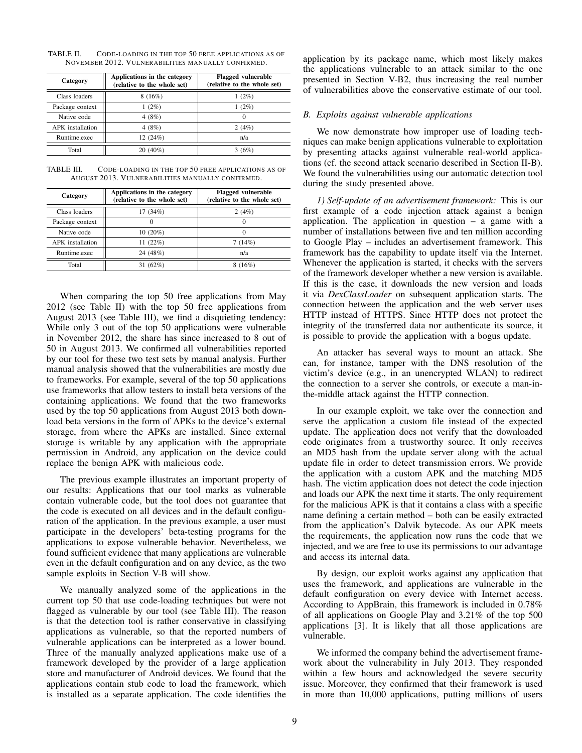| Category         | Applications in the category<br>(relative to the whole set) | <b>Flagged vulnerable</b><br>(relative to the whole set) |
|------------------|-------------------------------------------------------------|----------------------------------------------------------|
| Class loaders    | 8(16%)                                                      | $1(2\%)$                                                 |
| Package context  | $1(2\%)$                                                    | $1(2\%)$                                                 |
| Native code      | 4 $(8%)$                                                    | $\theta$                                                 |
| APK installation | 4(8%)                                                       | 2(4%)                                                    |
| Runtime.exec     | 12 (24%)                                                    | n/a                                                      |
| Total            | $20(40\%)$                                                  | (6%)                                                     |

TABLE II. CODE-LOADING IN THE TOP 50 FREE APPLICATIONS AS OF NOVEMBER 2012. VULNERABILITIES MANUALLY CONFIRMED.

TABLE III. CODE-LOADING IN THE TOP 50 FREE APPLICATIONS AS OF AUGUST 2013. VULNERABILITIES MANUALLY CONFIRMED.

| Category         | Applications in the category<br>(relative to the whole set) | <b>Flagged vulnerable</b><br>(relative to the whole set) |
|------------------|-------------------------------------------------------------|----------------------------------------------------------|
| Class loaders    | 17 (34%)                                                    | 2(4%)                                                    |
| Package context  |                                                             | $\Omega$                                                 |
| Native code      | $10(20\%)$                                                  | $\Omega$                                                 |
| APK installation | 11(22%)                                                     | 7(14%)                                                   |
| Runtime.exec     | 24 (48%)                                                    | n/a                                                      |
| Total            | 31 $(62%)$                                                  | 8 (16%)                                                  |

When comparing the top 50 free applications from May 2012 (see Table II) with the top 50 free applications from August 2013 (see Table III), we find a disquieting tendency: While only 3 out of the top 50 applications were vulnerable in November 2012, the share has since increased to 8 out of 50 in August 2013. We confirmed all vulnerabilities reported by our tool for these two test sets by manual analysis. Further manual analysis showed that the vulnerabilities are mostly due to frameworks. For example, several of the top 50 applications use frameworks that allow testers to install beta versions of the containing applications. We found that the two frameworks used by the top 50 applications from August 2013 both download beta versions in the form of APKs to the device's external storage, from where the APKs are installed. Since external storage is writable by any application with the appropriate permission in Android, any application on the device could replace the benign APK with malicious code.

The previous example illustrates an important property of our results: Applications that our tool marks as vulnerable contain vulnerable code, but the tool does not guarantee that the code is executed on all devices and in the default configuration of the application. In the previous example, a user must participate in the developers' beta-testing programs for the applications to expose vulnerable behavior. Nevertheless, we found sufficient evidence that many applications are vulnerable even in the default configuration and on any device, as the two sample exploits in Section V-B will show.

We manually analyzed some of the applications in the current top 50 that use code-loading techniques but were not flagged as vulnerable by our tool (see Table III). The reason is that the detection tool is rather conservative in classifying applications as vulnerable, so that the reported numbers of vulnerable applications can be interpreted as a lower bound. Three of the manually analyzed applications make use of a framework developed by the provider of a large application store and manufacturer of Android devices. We found that the applications contain stub code to load the framework, which is installed as a separate application. The code identifies the application by its package name, which most likely makes the applications vulnerable to an attack similar to the one presented in Section V-B2, thus increasing the real number of vulnerabilities above the conservative estimate of our tool.

## *B. Exploits against vulnerable applications*

We now demonstrate how improper use of loading techniques can make benign applications vulnerable to exploitation by presenting attacks against vulnerable real-world applications (cf. the second attack scenario described in Section II-B). We found the vulnerabilities using our automatic detection tool during the study presented above.

*1) Self-update of an advertisement framework:* This is our first example of a code injection attack against a benign application. The application in question – a game with a number of installations between five and ten million according to Google Play – includes an advertisement framework. This framework has the capability to update itself via the Internet. Whenever the application is started, it checks with the servers of the framework developer whether a new version is available. If this is the case, it downloads the new version and loads it via *DexClassLoader* on subsequent application starts. The connection between the application and the web server uses HTTP instead of HTTPS. Since HTTP does not protect the integrity of the transferred data nor authenticate its source, it is possible to provide the application with a bogus update.

An attacker has several ways to mount an attack. She can, for instance, tamper with the DNS resolution of the victim's device (e.g., in an unencrypted WLAN) to redirect the connection to a server she controls, or execute a man-inthe-middle attack against the HTTP connection.

In our example exploit, we take over the connection and serve the application a custom file instead of the expected update. The application does not verify that the downloaded code originates from a trustworthy source. It only receives an MD5 hash from the update server along with the actual update file in order to detect transmission errors. We provide the application with a custom APK and the matching MD5 hash. The victim application does not detect the code injection and loads our APK the next time it starts. The only requirement for the malicious APK is that it contains a class with a specific name defining a certain method – both can be easily extracted from the application's Dalvik bytecode. As our APK meets the requirements, the application now runs the code that we injected, and we are free to use its permissions to our advantage and access its internal data.

By design, our exploit works against any application that uses the framework, and applications are vulnerable in the default configuration on every device with Internet access. According to AppBrain, this framework is included in 0.78% of all applications on Google Play and 3.21% of the top 500 applications [3]. It is likely that all those applications are vulnerable.

We informed the company behind the advertisement framework about the vulnerability in July 2013. They responded within a few hours and acknowledged the severe security issue. Moreover, they confirmed that their framework is used in more than 10,000 applications, putting millions of users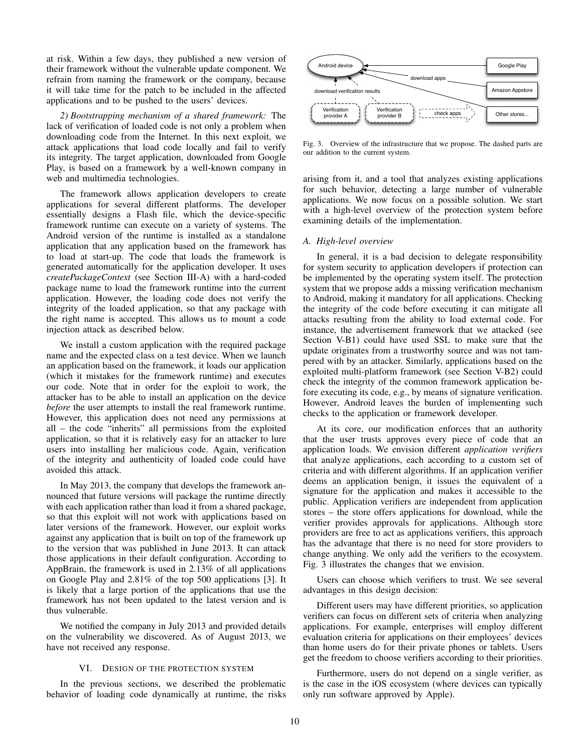at risk. Within a few days, they published a new version of their framework without the vulnerable update component. We refrain from naming the framework or the company, because it will take time for the patch to be included in the affected applications and to be pushed to the users' devices.

*2) Bootstrapping mechanism of a shared framework:* The lack of verification of loaded code is not only a problem when downloading code from the Internet. In this next exploit, we attack applications that load code locally and fail to verify its integrity. The target application, downloaded from Google Play, is based on a framework by a well-known company in web and multimedia technologies.

The framework allows application developers to create applications for several different platforms. The developer essentially designs a Flash file, which the device-specific framework runtime can execute on a variety of systems. The Android version of the runtime is installed as a standalone application that any application based on the framework has to load at start-up. The code that loads the framework is generated automatically for the application developer. It uses *createPackageContext* (see Section III-A) with a hard-coded package name to load the framework runtime into the current application. However, the loading code does not verify the integrity of the loaded application, so that any package with the right name is accepted. This allows us to mount a code injection attack as described below.

We install a custom application with the required package name and the expected class on a test device. When we launch an application based on the framework, it loads our application (which it mistakes for the framework runtime) and executes our code. Note that in order for the exploit to work, the attacker has to be able to install an application on the device *before* the user attempts to install the real framework runtime. However, this application does not need any permissions at all – the code "inherits" all permissions from the exploited application, so that it is relatively easy for an attacker to lure users into installing her malicious code. Again, verification of the integrity and authenticity of loaded code could have avoided this attack.

In May 2013, the company that develops the framework announced that future versions will package the runtime directly with each application rather than load it from a shared package, so that this exploit will not work with applications based on later versions of the framework. However, our exploit works against any application that is built on top of the framework up to the version that was published in June 2013. It can attack those applications in their default configuration. According to AppBrain, the framework is used in 2.13% of all applications on Google Play and 2.81% of the top 500 applications [3]. It is likely that a large portion of the applications that use the framework has not been updated to the latest version and is thus vulnerable.

We notified the company in July 2013 and provided details on the vulnerability we discovered. As of August 2013, we have not received any response.

#### VI. DESIGN OF THE PROTECTION SYSTEM

In the previous sections, we described the problematic behavior of loading code dynamically at runtime, the risks



Fig. 3. Overview of the infrastructure that we propose. The dashed parts are our addition to the current system.

arising from it, and a tool that analyzes existing applications for such behavior, detecting a large number of vulnerable applications. We now focus on a possible solution. We start with a high-level overview of the protection system before examining details of the implementation.

## *A. High-level overview*

In general, it is a bad decision to delegate responsibility for system security to application developers if protection can be implemented by the operating system itself. The protection system that we propose adds a missing verification mechanism to Android, making it mandatory for all applications. Checking the integrity of the code before executing it can mitigate all attacks resulting from the ability to load external code. For instance, the advertisement framework that we attacked (see Section V-B1) could have used SSL to make sure that the update originates from a trustworthy source and was not tampered with by an attacker. Similarly, applications based on the exploited multi-platform framework (see Section V-B2) could check the integrity of the common framework application before executing its code, e.g., by means of signature verification. However, Android leaves the burden of implementing such checks to the application or framework developer.

At its core, our modification enforces that an authority that the user trusts approves every piece of code that an application loads. We envision different *application verifiers* that analyze applications, each according to a custom set of criteria and with different algorithms. If an application verifier deems an application benign, it issues the equivalent of a signature for the application and makes it accessible to the public. Application verifiers are independent from application stores – the store offers applications for download, while the verifier provides approvals for applications. Although store providers are free to act as applications verifiers, this approach has the advantage that there is no need for store providers to change anything. We only add the verifiers to the ecosystem. Fig. 3 illustrates the changes that we envision.

Users can choose which verifiers to trust. We see several advantages in this design decision:

Different users may have different priorities, so application verifiers can focus on different sets of criteria when analyzing applications. For example, enterprises will employ different evaluation criteria for applications on their employees' devices than home users do for their private phones or tablets. Users get the freedom to choose verifiers according to their priorities.

Furthermore, users do not depend on a single verifier, as is the case in the iOS ecosystem (where devices can typically only run software approved by Apple).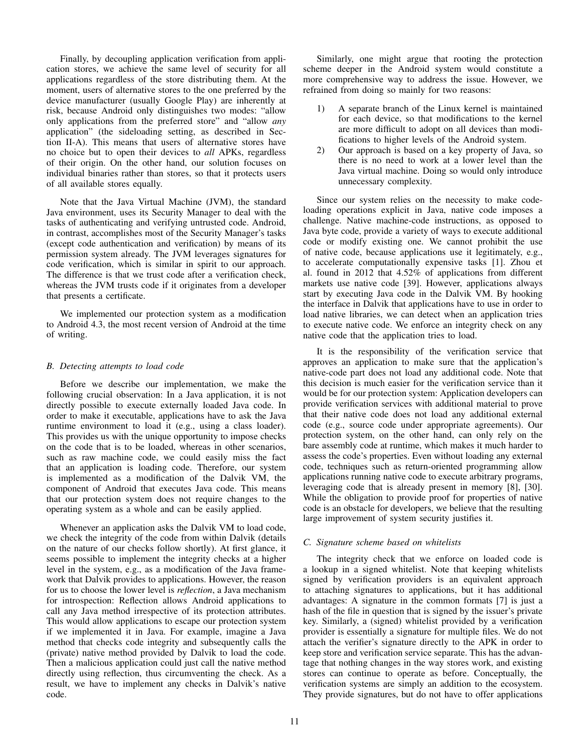Finally, by decoupling application verification from application stores, we achieve the same level of security for all applications regardless of the store distributing them. At the moment, users of alternative stores to the one preferred by the device manufacturer (usually Google Play) are inherently at risk, because Android only distinguishes two modes: "allow only applications from the preferred store" and "allow *any* application" (the sideloading setting, as described in Section II-A). This means that users of alternative stores have no choice but to open their devices to *all* APKs, regardless of their origin. On the other hand, our solution focuses on individual binaries rather than stores, so that it protects users of all available stores equally.

Note that the Java Virtual Machine (JVM), the standard Java environment, uses its Security Manager to deal with the tasks of authenticating and verifying untrusted code. Android, in contrast, accomplishes most of the Security Manager's tasks (except code authentication and verification) by means of its permission system already. The JVM leverages signatures for code verification, which is similar in spirit to our approach. The difference is that we trust code after a verification check, whereas the JVM trusts code if it originates from a developer that presents a certificate.

We implemented our protection system as a modification to Android 4.3, the most recent version of Android at the time of writing.

# *B. Detecting attempts to load code*

Before we describe our implementation, we make the following crucial observation: In a Java application, it is not directly possible to execute externally loaded Java code. In order to make it executable, applications have to ask the Java runtime environment to load it (e.g., using a class loader). This provides us with the unique opportunity to impose checks on the code that is to be loaded, whereas in other scenarios, such as raw machine code, we could easily miss the fact that an application is loading code. Therefore, our system is implemented as a modification of the Dalvik VM, the component of Android that executes Java code. This means that our protection system does not require changes to the operating system as a whole and can be easily applied.

Whenever an application asks the Dalvik VM to load code, we check the integrity of the code from within Dalvik (details on the nature of our checks follow shortly). At first glance, it seems possible to implement the integrity checks at a higher level in the system, e.g., as a modification of the Java framework that Dalvik provides to applications. However, the reason for us to choose the lower level is *reflection*, a Java mechanism for introspection: Reflection allows Android applications to call any Java method irrespective of its protection attributes. This would allow applications to escape our protection system if we implemented it in Java. For example, imagine a Java method that checks code integrity and subsequently calls the (private) native method provided by Dalvik to load the code. Then a malicious application could just call the native method directly using reflection, thus circumventing the check. As a result, we have to implement any checks in Dalvik's native code.

Similarly, one might argue that rooting the protection scheme deeper in the Android system would constitute a more comprehensive way to address the issue. However, we refrained from doing so mainly for two reasons:

- 1) A separate branch of the Linux kernel is maintained for each device, so that modifications to the kernel are more difficult to adopt on all devices than modifications to higher levels of the Android system.
- 2) Our approach is based on a key property of Java, so there is no need to work at a lower level than the Java virtual machine. Doing so would only introduce unnecessary complexity.

Since our system relies on the necessity to make codeloading operations explicit in Java, native code imposes a challenge. Native machine-code instructions, as opposed to Java byte code, provide a variety of ways to execute additional code or modify existing one. We cannot prohibit the use of native code, because applications use it legitimately, e.g., to accelerate computationally expensive tasks [1]. Zhou et al. found in 2012 that 4.52% of applications from different markets use native code [39]. However, applications always start by executing Java code in the Dalvik VM. By hooking the interface in Dalvik that applications have to use in order to load native libraries, we can detect when an application tries to execute native code. We enforce an integrity check on any native code that the application tries to load.

It is the responsibility of the verification service that approves an application to make sure that the application's native-code part does not load any additional code. Note that this decision is much easier for the verification service than it would be for our protection system: Application developers can provide verification services with additional material to prove that their native code does not load any additional external code (e.g., source code under appropriate agreements). Our protection system, on the other hand, can only rely on the bare assembly code at runtime, which makes it much harder to assess the code's properties. Even without loading any external code, techniques such as return-oriented programming allow applications running native code to execute arbitrary programs, leveraging code that is already present in memory [8], [30]. While the obligation to provide proof for properties of native code is an obstacle for developers, we believe that the resulting large improvement of system security justifies it.

# *C. Signature scheme based on whitelists*

The integrity check that we enforce on loaded code is a lookup in a signed whitelist. Note that keeping whitelists signed by verification providers is an equivalent approach to attaching signatures to applications, but it has additional advantages: A signature in the common formats [7] is just a hash of the file in question that is signed by the issuer's private key. Similarly, a (signed) whitelist provided by a verification provider is essentially a signature for multiple files. We do not attach the verifier's signature directly to the APK in order to keep store and verification service separate. This has the advantage that nothing changes in the way stores work, and existing stores can continue to operate as before. Conceptually, the verification systems are simply an addition to the ecosystem. They provide signatures, but do not have to offer applications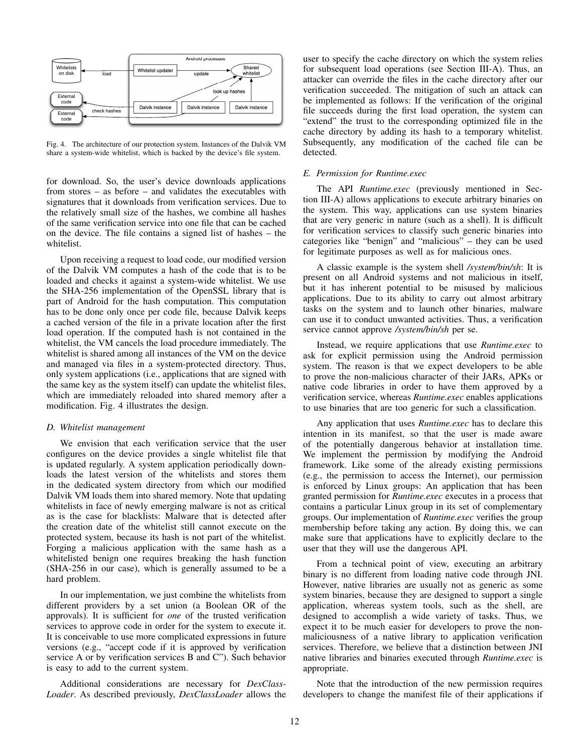

Fig. 4. The architecture of our protection system. Instances of the Dalvik VM share a system-wide whitelist, which is backed by the device's file system.

for download. So, the user's device downloads applications from stores – as before – and validates the executables with signatures that it downloads from verification services. Due to the relatively small size of the hashes, we combine all hashes of the same verification service into one file that can be cached on the device. The file contains a signed list of hashes – the whitelist.

Upon receiving a request to load code, our modified version of the Dalvik VM computes a hash of the code that is to be loaded and checks it against a system-wide whitelist. We use the SHA-256 implementation of the OpenSSL library that is part of Android for the hash computation. This computation has to be done only once per code file, because Dalvik keeps a cached version of the file in a private location after the first load operation. If the computed hash is not contained in the whitelist, the VM cancels the load procedure immediately. The whitelist is shared among all instances of the VM on the device and managed via files in a system-protected directory. Thus, only system applications (i.e., applications that are signed with the same key as the system itself) can update the whitelist files, which are immediately reloaded into shared memory after a modification. Fig. 4 illustrates the design.

#### *D. Whitelist management*

We envision that each verification service that the user configures on the device provides a single whitelist file that is updated regularly. A system application periodically downloads the latest version of the whitelists and stores them in the dedicated system directory from which our modified Dalvik VM loads them into shared memory. Note that updating whitelists in face of newly emerging malware is not as critical as is the case for blacklists: Malware that is detected after the creation date of the whitelist still cannot execute on the protected system, because its hash is not part of the whitelist. Forging a malicious application with the same hash as a whitelisted benign one requires breaking the hash function (SHA-256 in our case), which is generally assumed to be a hard problem.

In our implementation, we just combine the whitelists from different providers by a set union (a Boolean OR of the approvals). It is sufficient for *one* of the trusted verification services to approve code in order for the system to execute it. It is conceivable to use more complicated expressions in future versions (e.g., "accept code if it is approved by verification service A or by verification services B and C"). Such behavior is easy to add to the current system.

Additional considerations are necessary for *DexClass-Loader*. As described previously, *DexClassLoader* allows the user to specify the cache directory on which the system relies for subsequent load operations (see Section III-A). Thus, an attacker can override the files in the cache directory after our verification succeeded. The mitigation of such an attack can be implemented as follows: If the verification of the original file succeeds during the first load operation, the system can "extend" the trust to the corresponding optimized file in the cache directory by adding its hash to a temporary whitelist. Subsequently, any modification of the cached file can be detected.

#### *E. Permission for Runtime.exec*

The API *Runtime.exec* (previously mentioned in Section III-A) allows applications to execute arbitrary binaries on the system. This way, applications can use system binaries that are very generic in nature (such as a shell). It is difficult for verification services to classify such generic binaries into categories like "benign" and "malicious" – they can be used for legitimate purposes as well as for malicious ones.

A classic example is the system shell */system/bin/sh*: It is present on all Android systems and not malicious in itself, but it has inherent potential to be misused by malicious applications. Due to its ability to carry out almost arbitrary tasks on the system and to launch other binaries, malware can use it to conduct unwanted activities. Thus, a verification service cannot approve */system/bin/sh* per se.

Instead, we require applications that use *Runtime.exec* to ask for explicit permission using the Android permission system. The reason is that we expect developers to be able to prove the non-malicious character of their JARs, APKs or native code libraries in order to have them approved by a verification service, whereas *Runtime.exec* enables applications to use binaries that are too generic for such a classification.

Any application that uses *Runtime.exec* has to declare this intention in its manifest, so that the user is made aware of the potentially dangerous behavior at installation time. We implement the permission by modifying the Android framework. Like some of the already existing permissions (e.g., the permission to access the Internet), our permission is enforced by Linux groups: An application that has been granted permission for *Runtime.exec* executes in a process that contains a particular Linux group in its set of complementary groups. Our implementation of *Runtime.exec* verifies the group membership before taking any action. By doing this, we can make sure that applications have to explicitly declare to the user that they will use the dangerous API.

From a technical point of view, executing an arbitrary binary is no different from loading native code through JNI. However, native libraries are usually not as generic as some system binaries, because they are designed to support a single application, whereas system tools, such as the shell, are designed to accomplish a wide variety of tasks. Thus, we expect it to be much easier for developers to prove the nonmaliciousness of a native library to application verification services. Therefore, we believe that a distinction between JNI native libraries and binaries executed through *Runtime.exec* is appropriate.

Note that the introduction of the new permission requires developers to change the manifest file of their applications if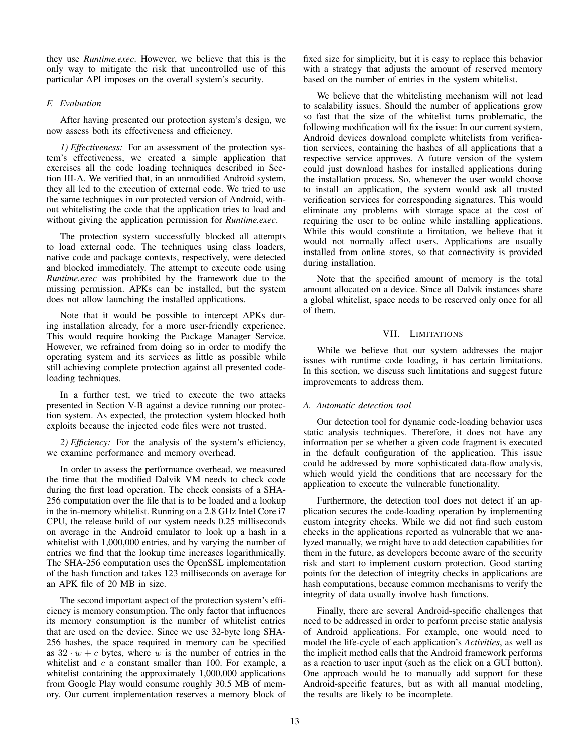they use *Runtime.exec*. However, we believe that this is the only way to mitigate the risk that uncontrolled use of this particular API imposes on the overall system's security.

#### *F. Evaluation*

After having presented our protection system's design, we now assess both its effectiveness and efficiency.

*1) Effectiveness:* For an assessment of the protection system's effectiveness, we created a simple application that exercises all the code loading techniques described in Section III-A. We verified that, in an unmodified Android system, they all led to the execution of external code. We tried to use the same techniques in our protected version of Android, without whitelisting the code that the application tries to load and without giving the application permission for *Runtime.exec*.

The protection system successfully blocked all attempts to load external code. The techniques using class loaders, native code and package contexts, respectively, were detected and blocked immediately. The attempt to execute code using *Runtime.exec* was prohibited by the framework due to the missing permission. APKs can be installed, but the system does not allow launching the installed applications.

Note that it would be possible to intercept APKs during installation already, for a more user-friendly experience. This would require hooking the Package Manager Service. However, we refrained from doing so in order to modify the operating system and its services as little as possible while still achieving complete protection against all presented codeloading techniques.

In a further test, we tried to execute the two attacks presented in Section V-B against a device running our protection system. As expected, the protection system blocked both exploits because the injected code files were not trusted.

*2) Efficiency:* For the analysis of the system's efficiency, we examine performance and memory overhead.

In order to assess the performance overhead, we measured the time that the modified Dalvik VM needs to check code during the first load operation. The check consists of a SHA-256 computation over the file that is to be loaded and a lookup in the in-memory whitelist. Running on a 2.8 GHz Intel Core i7 CPU, the release build of our system needs 0.25 milliseconds on average in the Android emulator to look up a hash in a whitelist with 1,000,000 entries, and by varying the number of entries we find that the lookup time increases logarithmically. The SHA-256 computation uses the OpenSSL implementation of the hash function and takes 123 milliseconds on average for an APK file of 20 MB in size.

The second important aspect of the protection system's efficiency is memory consumption. The only factor that influences its memory consumption is the number of whitelist entries that are used on the device. Since we use 32-byte long SHA-256 hashes, the space required in memory can be specified as  $32 \cdot w + c$  bytes, where w is the number of entries in the whitelist and  $c$  a constant smaller than 100. For example, a whitelist containing the approximately 1,000,000 applications from Google Play would consume roughly 30.5 MB of memory. Our current implementation reserves a memory block of fixed size for simplicity, but it is easy to replace this behavior with a strategy that adjusts the amount of reserved memory based on the number of entries in the system whitelist.

We believe that the whitelisting mechanism will not lead to scalability issues. Should the number of applications grow so fast that the size of the whitelist turns problematic, the following modification will fix the issue: In our current system, Android devices download complete whitelists from verification services, containing the hashes of all applications that a respective service approves. A future version of the system could just download hashes for installed applications during the installation process. So, whenever the user would choose to install an application, the system would ask all trusted verification services for corresponding signatures. This would eliminate any problems with storage space at the cost of requiring the user to be online while installing applications. While this would constitute a limitation, we believe that it would not normally affect users. Applications are usually installed from online stores, so that connectivity is provided during installation.

Note that the specified amount of memory is the total amount allocated on a device. Since all Dalvik instances share a global whitelist, space needs to be reserved only once for all of them.

#### VII. LIMITATIONS

While we believe that our system addresses the major issues with runtime code loading, it has certain limitations. In this section, we discuss such limitations and suggest future improvements to address them.

#### *A. Automatic detection tool*

Our detection tool for dynamic code-loading behavior uses static analysis techniques. Therefore, it does not have any information per se whether a given code fragment is executed in the default configuration of the application. This issue could be addressed by more sophisticated data-flow analysis, which would yield the conditions that are necessary for the application to execute the vulnerable functionality.

Furthermore, the detection tool does not detect if an application secures the code-loading operation by implementing custom integrity checks. While we did not find such custom checks in the applications reported as vulnerable that we analyzed manually, we might have to add detection capabilities for them in the future, as developers become aware of the security risk and start to implement custom protection. Good starting points for the detection of integrity checks in applications are hash computations, because common mechanisms to verify the integrity of data usually involve hash functions.

Finally, there are several Android-specific challenges that need to be addressed in order to perform precise static analysis of Android applications. For example, one would need to model the life-cycle of each application's *Activities*, as well as the implicit method calls that the Android framework performs as a reaction to user input (such as the click on a GUI button). One approach would be to manually add support for these Android-specific features, but as with all manual modeling, the results are likely to be incomplete.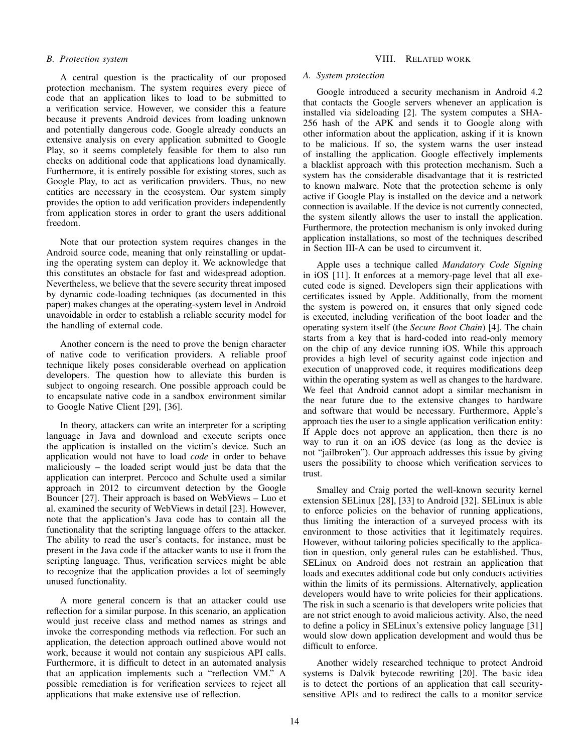#### *B. Protection system*

A central question is the practicality of our proposed protection mechanism. The system requires every piece of code that an application likes to load to be submitted to a verification service. However, we consider this a feature because it prevents Android devices from loading unknown and potentially dangerous code. Google already conducts an extensive analysis on every application submitted to Google Play, so it seems completely feasible for them to also run checks on additional code that applications load dynamically. Furthermore, it is entirely possible for existing stores, such as Google Play, to act as verification providers. Thus, no new entities are necessary in the ecosystem. Our system simply provides the option to add verification providers independently from application stores in order to grant the users additional freedom.

Note that our protection system requires changes in the Android source code, meaning that only reinstalling or updating the operating system can deploy it. We acknowledge that this constitutes an obstacle for fast and widespread adoption. Nevertheless, we believe that the severe security threat imposed by dynamic code-loading techniques (as documented in this paper) makes changes at the operating-system level in Android unavoidable in order to establish a reliable security model for the handling of external code.

Another concern is the need to prove the benign character of native code to verification providers. A reliable proof technique likely poses considerable overhead on application developers. The question how to alleviate this burden is subject to ongoing research. One possible approach could be to encapsulate native code in a sandbox environment similar to Google Native Client [29], [36].

In theory, attackers can write an interpreter for a scripting language in Java and download and execute scripts once the application is installed on the victim's device. Such an application would not have to load *code* in order to behave maliciously – the loaded script would just be data that the application can interpret. Percoco and Schulte used a similar approach in 2012 to circumvent detection by the Google Bouncer [27]. Their approach is based on WebViews – Luo et al. examined the security of WebViews in detail [23]. However, note that the application's Java code has to contain all the functionality that the scripting language offers to the attacker. The ability to read the user's contacts, for instance, must be present in the Java code if the attacker wants to use it from the scripting language. Thus, verification services might be able to recognize that the application provides a lot of seemingly unused functionality.

A more general concern is that an attacker could use reflection for a similar purpose. In this scenario, an application would just receive class and method names as strings and invoke the corresponding methods via reflection. For such an application, the detection approach outlined above would not work, because it would not contain any suspicious API calls. Furthermore, it is difficult to detect in an automated analysis that an application implements such a "reflection VM." A possible remediation is for verification services to reject all applications that make extensive use of reflection.

#### VIII. RELATED WORK

#### *A. System protection*

Google introduced a security mechanism in Android 4.2 that contacts the Google servers whenever an application is installed via sideloading [2]. The system computes a SHA-256 hash of the APK and sends it to Google along with other information about the application, asking if it is known to be malicious. If so, the system warns the user instead of installing the application. Google effectively implements a blacklist approach with this protection mechanism. Such a system has the considerable disadvantage that it is restricted to known malware. Note that the protection scheme is only active if Google Play is installed on the device and a network connection is available. If the device is not currently connected, the system silently allows the user to install the application. Furthermore, the protection mechanism is only invoked during application installations, so most of the techniques described in Section III-A can be used to circumvent it.

Apple uses a technique called *Mandatory Code Signing* in iOS [11]. It enforces at a memory-page level that all executed code is signed. Developers sign their applications with certificates issued by Apple. Additionally, from the moment the system is powered on, it ensures that only signed code is executed, including verification of the boot loader and the operating system itself (the *Secure Boot Chain*) [4]. The chain starts from a key that is hard-coded into read-only memory on the chip of any device running iOS. While this approach provides a high level of security against code injection and execution of unapproved code, it requires modifications deep within the operating system as well as changes to the hardware. We feel that Android cannot adopt a similar mechanism in the near future due to the extensive changes to hardware and software that would be necessary. Furthermore, Apple's approach ties the user to a single application verification entity: If Apple does not approve an application, then there is no way to run it on an iOS device (as long as the device is not "jailbroken"). Our approach addresses this issue by giving users the possibility to choose which verification services to trust.

Smalley and Craig ported the well-known security kernel extension SELinux [28], [33] to Android [32]. SELinux is able to enforce policies on the behavior of running applications, thus limiting the interaction of a surveyed process with its environment to those activities that it legitimately requires. However, without tailoring policies specifically to the application in question, only general rules can be established. Thus, SELinux on Android does not restrain an application that loads and executes additional code but only conducts activities within the limits of its permissions. Alternatively, application developers would have to write policies for their applications. The risk in such a scenario is that developers write policies that are not strict enough to avoid malicious activity. Also, the need to define a policy in SELinux's extensive policy language [31] would slow down application development and would thus be difficult to enforce.

Another widely researched technique to protect Android systems is Dalvik bytecode rewriting [20]. The basic idea is to detect the portions of an application that call securitysensitive APIs and to redirect the calls to a monitor service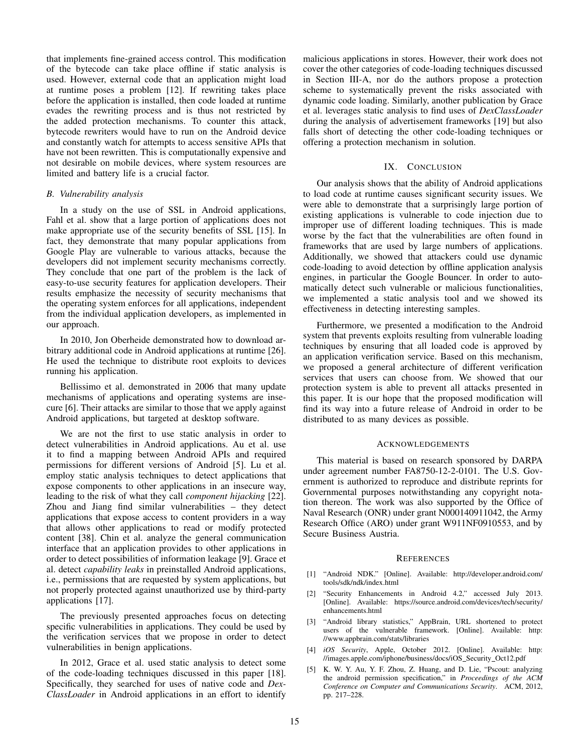that implements fine-grained access control. This modification of the bytecode can take place offline if static analysis is used. However, external code that an application might load at runtime poses a problem [12]. If rewriting takes place before the application is installed, then code loaded at runtime evades the rewriting process and is thus not restricted by the added protection mechanisms. To counter this attack, bytecode rewriters would have to run on the Android device and constantly watch for attempts to access sensitive APIs that have not been rewritten. This is computationally expensive and not desirable on mobile devices, where system resources are limited and battery life is a crucial factor.

#### *B. Vulnerability analysis*

In a study on the use of SSL in Android applications, Fahl et al. show that a large portion of applications does not make appropriate use of the security benefits of SSL [15]. In fact, they demonstrate that many popular applications from Google Play are vulnerable to various attacks, because the developers did not implement security mechanisms correctly. They conclude that one part of the problem is the lack of easy-to-use security features for application developers. Their results emphasize the necessity of security mechanisms that the operating system enforces for all applications, independent from the individual application developers, as implemented in our approach.

In 2010, Jon Oberheide demonstrated how to download arbitrary additional code in Android applications at runtime [26]. He used the technique to distribute root exploits to devices running his application.

Bellissimo et al. demonstrated in 2006 that many update mechanisms of applications and operating systems are insecure [6]. Their attacks are similar to those that we apply against Android applications, but targeted at desktop software.

We are not the first to use static analysis in order to detect vulnerabilities in Android applications. Au et al. use it to find a mapping between Android APIs and required permissions for different versions of Android [5]. Lu et al. employ static analysis techniques to detect applications that expose components to other applications in an insecure way, leading to the risk of what they call *component hijacking* [22]. Zhou and Jiang find similar vulnerabilities – they detect applications that expose access to content providers in a way that allows other applications to read or modify protected content [38]. Chin et al. analyze the general communication interface that an application provides to other applications in order to detect possibilities of information leakage [9]. Grace et al. detect *capability leaks* in preinstalled Android applications, i.e., permissions that are requested by system applications, but not properly protected against unauthorized use by third-party applications [17].

The previously presented approaches focus on detecting specific vulnerabilities in applications. They could be used by the verification services that we propose in order to detect vulnerabilities in benign applications.

In 2012, Grace et al. used static analysis to detect some of the code-loading techniques discussed in this paper [18]. Specifically, they searched for uses of native code and *Dex-ClassLoader* in Android applications in an effort to identify malicious applications in stores. However, their work does not cover the other categories of code-loading techniques discussed in Section III-A, nor do the authors propose a protection scheme to systematically prevent the risks associated with dynamic code loading. Similarly, another publication by Grace et al. leverages static analysis to find uses of *DexClassLoader* during the analysis of advertisement frameworks [19] but also falls short of detecting the other code-loading techniques or offering a protection mechanism in solution.

#### IX. CONCLUSION

Our analysis shows that the ability of Android applications to load code at runtime causes significant security issues. We were able to demonstrate that a surprisingly large portion of existing applications is vulnerable to code injection due to improper use of different loading techniques. This is made worse by the fact that the vulnerabilities are often found in frameworks that are used by large numbers of applications. Additionally, we showed that attackers could use dynamic code-loading to avoid detection by offline application analysis engines, in particular the Google Bouncer. In order to automatically detect such vulnerable or malicious functionalities, we implemented a static analysis tool and we showed its effectiveness in detecting interesting samples.

Furthermore, we presented a modification to the Android system that prevents exploits resulting from vulnerable loading techniques by ensuring that all loaded code is approved by an application verification service. Based on this mechanism, we proposed a general architecture of different verification services that users can choose from. We showed that our protection system is able to prevent all attacks presented in this paper. It is our hope that the proposed modification will find its way into a future release of Android in order to be distributed to as many devices as possible.

## ACKNOWLEDGEMENTS

This material is based on research sponsored by DARPA under agreement number FA8750-12-2-0101. The U.S. Government is authorized to reproduce and distribute reprints for Governmental purposes notwithstanding any copyright notation thereon. The work was also supported by the Office of Naval Research (ONR) under grant N000140911042, the Army Research Office (ARO) under grant W911NF0910553, and by Secure Business Austria.

#### **REFERENCES**

- [1] "Android NDK." [Online]. Available: http://developer.android.com/ tools/sdk/ndk/index.html
- [2] "Security Enhancements in Android 4.2," accessed July 2013. [Online]. Available: https://source.android.com/devices/tech/security/ enhancements.html
- [3] "Android library statistics," AppBrain, URL shortened to protect users of the vulnerable framework. [Online]. Available: http: //www.appbrain.com/stats/libraries
- [4] *iOS Security*, Apple, October 2012. [Online]. Available: http: //images.apple.com/iphone/business/docs/iOS\_Security\_Oct12.pdf
- [5] K. W. Y. Au, Y. F. Zhou, Z. Huang, and D. Lie, "Pscout: analyzing the android permission specification," in *Proceedings of the ACM Conference on Computer and Communications Security*. ACM, 2012, pp. 217–228.